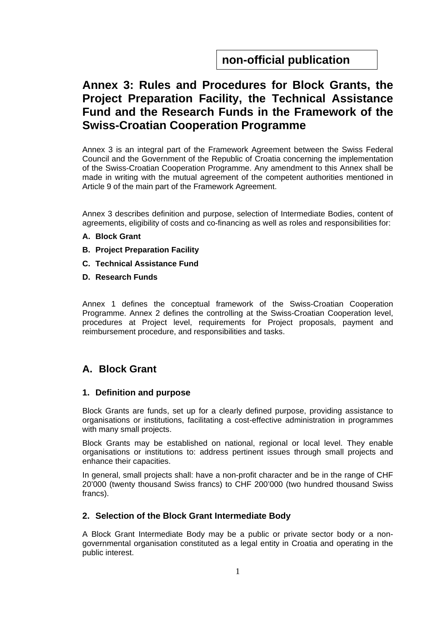# **Annex 3: Rules and Procedures for Block Grants, the Project Preparation Facility, the Technical Assistance Fund and the Research Funds in the Framework of the Swiss-Croatian Cooperation Programme**

Annex 3 is an integral part of the Framework Agreement between the Swiss Federal Council and the Government of the Republic of Croatia concerning the implementation of the Swiss-Croatian Cooperation Programme. Any amendment to this Annex shall be made in writing with the mutual agreement of the competent authorities mentioned in Article 9 of the main part of the Framework Agreement.

Annex 3 describes definition and purpose, selection of Intermediate Bodies, content of agreements, eligibility of costs and co-financing as well as roles and responsibilities for:

- **A. Block Grant**
- **B. Project Preparation Facility**
- **C. Technical Assistance Fund**
- **D. Research Funds**

Annex 1 defines the conceptual framework of the Swiss-Croatian Cooperation Programme. Annex 2 defines the controlling at the Swiss-Croatian Cooperation level, procedures at Project level, requirements for Project proposals, payment and reimbursement procedure, and responsibilities and tasks.

## **A. Block Grant**

#### **1. Definition and purpose**

Block Grants are funds, set up for a clearly defined purpose, providing assistance to organisations or institutions, facilitating a cost-effective administration in programmes with many small projects.

Block Grants may be established on national, regional or local level. They enable organisations or institutions to: address pertinent issues through small projects and enhance their capacities.

In general, small projects shall: have a non-profit character and be in the range of CHF 20'000 (twenty thousand Swiss francs) to CHF 200'000 (two hundred thousand Swiss francs).

#### **2. Selection of the Block Grant Intermediate Body**

A Block Grant Intermediate Body may be a public or private sector body or a nongovernmental organisation constituted as a legal entity in Croatia and operating in the public interest.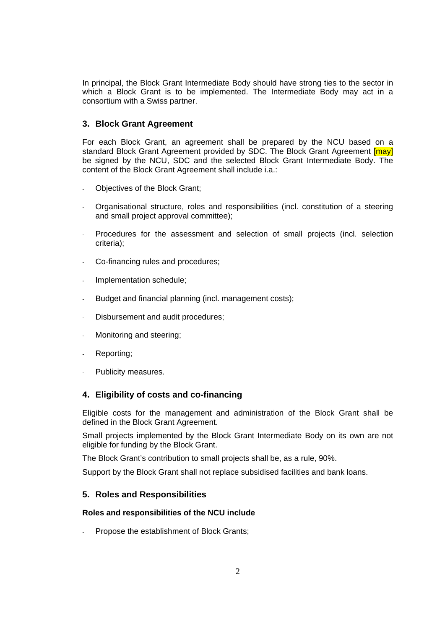In principal, the Block Grant Intermediate Body should have strong ties to the sector in which a Block Grant is to be implemented. The Intermediate Body may act in a consortium with a Swiss partner.

#### **3. Block Grant Agreement**

For each Block Grant, an agreement shall be prepared by the NCU based on a standard Block Grant Agreement provided by SDC. The Block Grant Agreement [may] be signed by the NCU, SDC and the selected Block Grant Intermediate Body. The content of the Block Grant Agreement shall include i.a.:

- Objectives of the Block Grant;
- Organisational structure, roles and responsibilities (incl. constitution of a steering and small project approval committee);
- Procedures for the assessment and selection of small projects (incl. selection criteria);
- Co-financing rules and procedures;
- Implementation schedule;
- Budget and financial planning (incl. management costs);
- Disbursement and audit procedures;
- Monitoring and steering:
- Reporting;
- Publicity measures.

#### **4. Eligibility of costs and co-financing**

Eligible costs for the management and administration of the Block Grant shall be defined in the Block Grant Agreement.

Small projects implemented by the Block Grant Intermediate Body on its own are not eligible for funding by the Block Grant.

The Block Grant's contribution to small projects shall be, as a rule, 90%.

Support by the Block Grant shall not replace subsidised facilities and bank loans.

#### **5. Roles and Responsibilities**

#### **Roles and responsibilities of the NCU include**

Propose the establishment of Block Grants;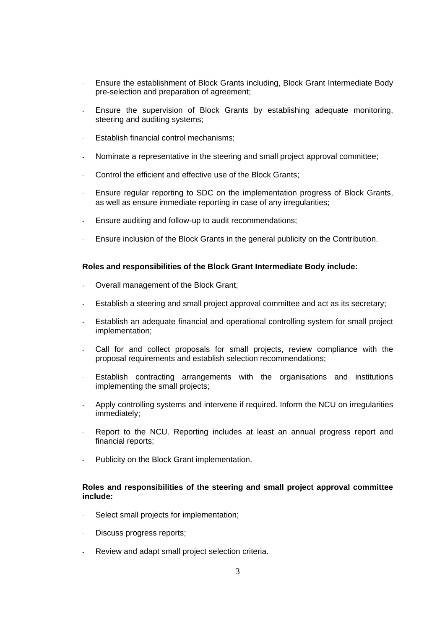- Ensure the establishment of Block Grants including, Block Grant Intermediate Body pre-selection and preparation of agreement;
- Ensure the supervision of Block Grants by establishing adequate monitoring, steering and auditing systems:
- Establish financial control mechanisms;
- Nominate a representative in the steering and small project approval committee;
- Control the efficient and effective use of the Block Grants;
- Ensure regular reporting to SDC on the implementation progress of Block Grants, as well as ensure immediate reporting in case of any irregularities;
- Ensure auditing and follow-up to audit recommendations;
- Ensure inclusion of the Block Grants in the general publicity on the Contribution.

#### **Roles and responsibilities of the Block Grant Intermediate Body include:**

- Overall management of the Block Grant;
- Establish a steering and small project approval committee and act as its secretary;
- Establish an adequate financial and operational controlling system for small project implementation;
- Call for and collect proposals for small projects, review compliance with the proposal requirements and establish selection recommendations;
- Establish contracting arrangements with the organisations and institutions implementing the small projects;
- Apply controlling systems and intervene if required. Inform the NCU on irregularities immediately;
- Report to the NCU. Reporting includes at least an annual progress report and financial reports;
- Publicity on the Block Grant implementation.

#### **Roles and responsibilities of the steering and small project approval committee include:**

- Select small projects for implementation;
- Discuss progress reports;
- Review and adapt small project selection criteria.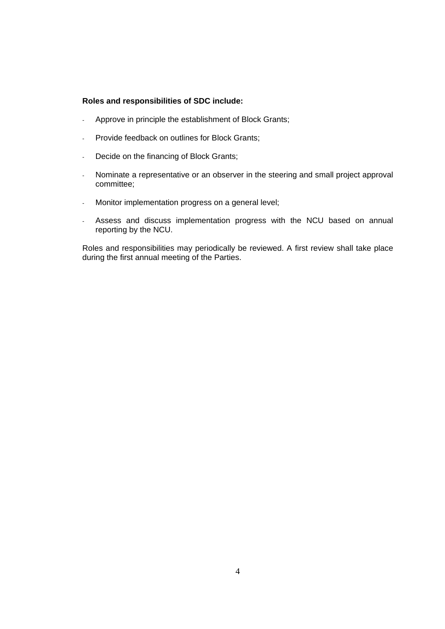#### **Roles and responsibilities of SDC include:**

- Approve in principle the establishment of Block Grants;
- Provide feedback on outlines for Block Grants;
- Decide on the financing of Block Grants;
- Nominate a representative or an observer in the steering and small project approval committee;
- Monitor implementation progress on a general level;
- Assess and discuss implementation progress with the NCU based on annual reporting by the NCU.

Roles and responsibilities may periodically be reviewed. A first review shall take place during the first annual meeting of the Parties.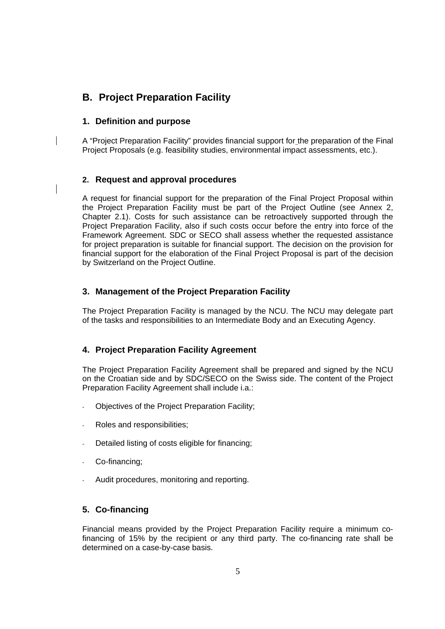## **B. Project Preparation Facility**

### **1. Definition and purpose**

A "Project Preparation Facility" provides financial support for the preparation of the Final Project Proposals (e.g. feasibility studies, environmental impact assessments, etc.).

### **2. Request and approval procedures**

A request for financial support for the preparation of the Final Project Proposal within the Project Preparation Facility must be part of the Project Outline (see Annex 2, Chapter 2.1). Costs for such assistance can be retroactively supported through the Project Preparation Facility, also if such costs occur before the entry into force of the Framework Agreement. SDC or SECO shall assess whether the requested assistance for project preparation is suitable for financial support. The decision on the provision for financial support for the elaboration of the Final Project Proposal is part of the decision by Switzerland on the Project Outline.

### **3. Management of the Project Preparation Facility**

The Project Preparation Facility is managed by the NCU. The NCU may delegate part of the tasks and responsibilities to an Intermediate Body and an Executing Agency.

## **4. Project Preparation Facility Agreement**

The Project Preparation Facility Agreement shall be prepared and signed by the NCU on the Croatian side and by SDC/SECO on the Swiss side. The content of the Project Preparation Facility Agreement shall include i.a.:

- Objectives of the Project Preparation Facility;
- Roles and responsibilities:
- Detailed listing of costs eligible for financing;
- Co-financing;
- Audit procedures, monitoring and reporting.

## **5. Co-financing**

Financial means provided by the Project Preparation Facility require a minimum cofinancing of 15% by the recipient or any third party. The co-financing rate shall be determined on a case-by-case basis.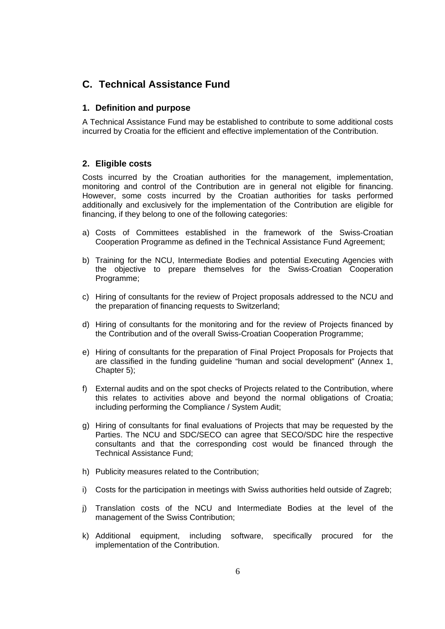## **C. Technical Assistance Fund**

#### **1. Definition and purpose**

A Technical Assistance Fund may be established to contribute to some additional costs incurred by Croatia for the efficient and effective implementation of the Contribution.

#### **2. Eligible costs**

Costs incurred by the Croatian authorities for the management, implementation, monitoring and control of the Contribution are in general not eligible for financing. However, some costs incurred by the Croatian authorities for tasks performed additionally and exclusively for the implementation of the Contribution are eligible for financing, if they belong to one of the following categories:

- a) Costs of Committees established in the framework of the Swiss-Croatian Cooperation Programme as defined in the Technical Assistance Fund Agreement;
- b) Training for the NCU, Intermediate Bodies and potential Executing Agencies with the objective to prepare themselves for the Swiss-Croatian Cooperation Programme;
- c) Hiring of consultants for the review of Project proposals addressed to the NCU and the preparation of financing requests to Switzerland;
- d) Hiring of consultants for the monitoring and for the review of Projects financed by the Contribution and of the overall Swiss-Croatian Cooperation Programme;
- e) Hiring of consultants for the preparation of Final Project Proposals for Projects that are classified in the funding guideline "human and social development" (Annex 1, Chapter 5);
- f) External audits and on the spot checks of Projects related to the Contribution, where this relates to activities above and beyond the normal obligations of Croatia; including performing the Compliance / System Audit;
- g) Hiring of consultants for final evaluations of Projects that may be requested by the Parties. The NCU and SDC/SECO can agree that SECO/SDC hire the respective consultants and that the corresponding cost would be financed through the Technical Assistance Fund;
- h) Publicity measures related to the Contribution;
- i) Costs for the participation in meetings with Swiss authorities held outside of Zagreb;
- j) Translation costs of the NCU and Intermediate Bodies at the level of the management of the Swiss Contribution;
- k) Additional equipment, including software, specifically procured for the implementation of the Contribution.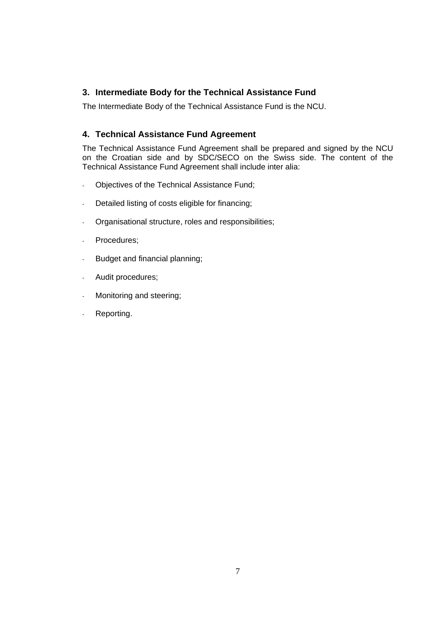### **3. Intermediate Body for the Technical Assistance Fund**

The Intermediate Body of the Technical Assistance Fund is the NCU.

### **4. Technical Assistance Fund Agreement**

The Technical Assistance Fund Agreement shall be prepared and signed by the NCU on the Croatian side and by SDC/SECO on the Swiss side. The content of the Technical Assistance Fund Agreement shall include inter alia:

- Objectives of the Technical Assistance Fund;
- Detailed listing of costs eligible for financing;
- Organisational structure, roles and responsibilities;
- Procedures;
- Budget and financial planning;
- Audit procedures;
- Monitoring and steering;
- Reporting.